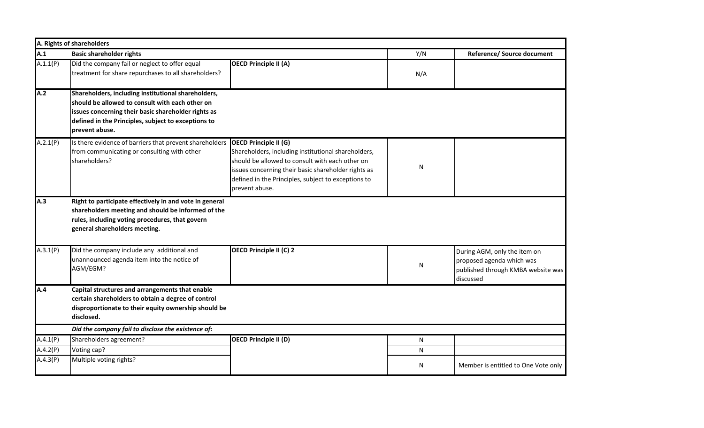|          | A. Rights of shareholders                                                                                                                                                                                                              |                                                                                                                                                                                                                                                                        |           |                                                                                                              |  |
|----------|----------------------------------------------------------------------------------------------------------------------------------------------------------------------------------------------------------------------------------------|------------------------------------------------------------------------------------------------------------------------------------------------------------------------------------------------------------------------------------------------------------------------|-----------|--------------------------------------------------------------------------------------------------------------|--|
| A.1      | <b>Basic shareholder rights</b>                                                                                                                                                                                                        |                                                                                                                                                                                                                                                                        | Y/N       | Reference/ Source document                                                                                   |  |
| A.1.1(P) | Did the company fail or neglect to offer equal<br>treatment for share repurchases to all shareholders?                                                                                                                                 | <b>OECD Principle II (A)</b>                                                                                                                                                                                                                                           | N/A       |                                                                                                              |  |
| A.2      | Shareholders, including institutional shareholders,<br>should be allowed to consult with each other on<br>issues concerning their basic shareholder rights as<br>defined in the Principles, subject to exceptions to<br>prevent abuse. |                                                                                                                                                                                                                                                                        |           |                                                                                                              |  |
| A.2.1(P) | Is there evidence of barriers that prevent shareholders<br>from communicating or consulting with other<br>shareholders?                                                                                                                | <b>OECD Principle II (G)</b><br>Shareholders, including institutional shareholders,<br>should be allowed to consult with each other on<br>issues concerning their basic shareholder rights as<br>defined in the Principles, subject to exceptions to<br>prevent abuse. | ${\sf N}$ |                                                                                                              |  |
| A.3      | Right to participate effectively in and vote in general<br>shareholders meeting and should be informed of the<br>rules, including voting procedures, that govern<br>general shareholders meeting.                                      |                                                                                                                                                                                                                                                                        |           |                                                                                                              |  |
| A.3.1(P) | Did the company include any additional and<br>unannounced agenda item into the notice of<br>AGM/EGM?                                                                                                                                   | <b>OECD Principle II (C) 2</b>                                                                                                                                                                                                                                         | ${\sf N}$ | During AGM, only the item on<br>proposed agenda which was<br>published through KMBA website was<br>discussed |  |
| A.4      | Capital structures and arrangements that enable<br>certain shareholders to obtain a degree of control<br>disproportionate to their equity ownership should be<br>disclosed.                                                            |                                                                                                                                                                                                                                                                        |           |                                                                                                              |  |
|          | Did the company fail to disclose the existence of:                                                                                                                                                                                     |                                                                                                                                                                                                                                                                        |           |                                                                                                              |  |
| A.4.1(P) | Shareholders agreement?                                                                                                                                                                                                                | <b>OECD Principle II (D)</b>                                                                                                                                                                                                                                           | N         |                                                                                                              |  |
| A.4.2(P) | Voting cap?                                                                                                                                                                                                                            |                                                                                                                                                                                                                                                                        | N         |                                                                                                              |  |
| A.4.3(P) | Multiple voting rights?                                                                                                                                                                                                                |                                                                                                                                                                                                                                                                        | N         | Member is entitled to One Vote only                                                                          |  |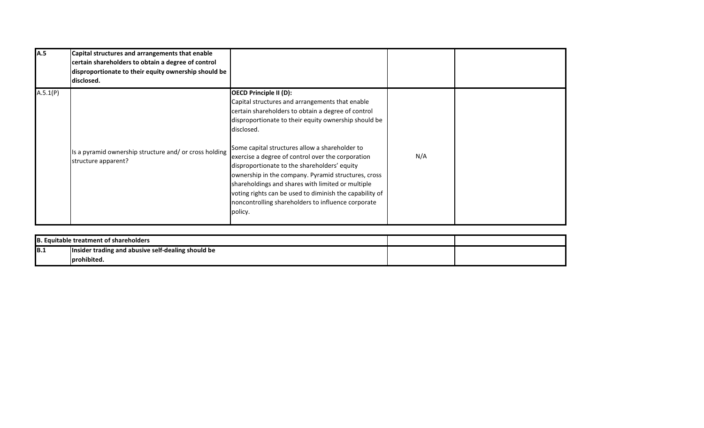| A.5      | Capital structures and arrangements that enable<br>certain shareholders to obtain a degree of control<br>disproportionate to their equity ownership should be<br>ldisclosed. |                                                                                                                                                                                                                                                                                                                                                                                                                                                                                                                                                                                                             |     |  |
|----------|------------------------------------------------------------------------------------------------------------------------------------------------------------------------------|-------------------------------------------------------------------------------------------------------------------------------------------------------------------------------------------------------------------------------------------------------------------------------------------------------------------------------------------------------------------------------------------------------------------------------------------------------------------------------------------------------------------------------------------------------------------------------------------------------------|-----|--|
| A.5.1(P) | Is a pyramid ownership structure and/ or cross holding<br>structure apparent?                                                                                                | <b>OECD Principle II (D):</b><br>Capital structures and arrangements that enable<br>certain shareholders to obtain a degree of control<br>disproportionate to their equity ownership should be<br>disclosed.<br>Some capital structures allow a shareholder to<br>exercise a degree of control over the corporation<br>disproportionate to the shareholders' equity<br>ownership in the company. Pyramid structures, cross<br>shareholdings and shares with limited or multiple<br>voting rights can be used to diminish the capability of<br>noncontrolling shareholders to influence corporate<br>policy. | N/A |  |

| . Equitable treatment of shareholders |                                                    |  |  |  |
|---------------------------------------|----------------------------------------------------|--|--|--|
| B.1                                   | Insider trading and abusive self-dealing should be |  |  |  |
|                                       | Iprohibited.                                       |  |  |  |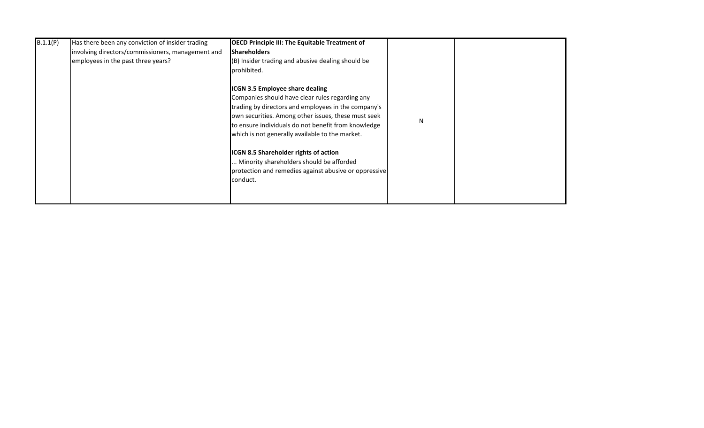| B.1.1(P) | Has there been any conviction of insider trading<br>involving directors/commissioners, management and | <b>OECD Principle III: The Equitable Treatment of</b><br><b>Shareholders</b>                                                                                                                                                                                                                                                                                                   |   |  |
|----------|-------------------------------------------------------------------------------------------------------|--------------------------------------------------------------------------------------------------------------------------------------------------------------------------------------------------------------------------------------------------------------------------------------------------------------------------------------------------------------------------------|---|--|
|          | employees in the past three years?                                                                    | (B) Insider trading and abusive dealing should be<br>prohibited.<br>ICGN 3.5 Employee share dealing<br>Companies should have clear rules regarding any<br>trading by directors and employees in the company's<br>own securities. Among other issues, these must seek<br>to ensure individuals do not benefit from knowledge<br>which is not generally available to the market. | N |  |
|          |                                                                                                       | ICGN 8.5 Shareholder rights of action<br>Minority shareholders should be afforded<br>protection and remedies against abusive or oppressive<br>conduct.                                                                                                                                                                                                                         |   |  |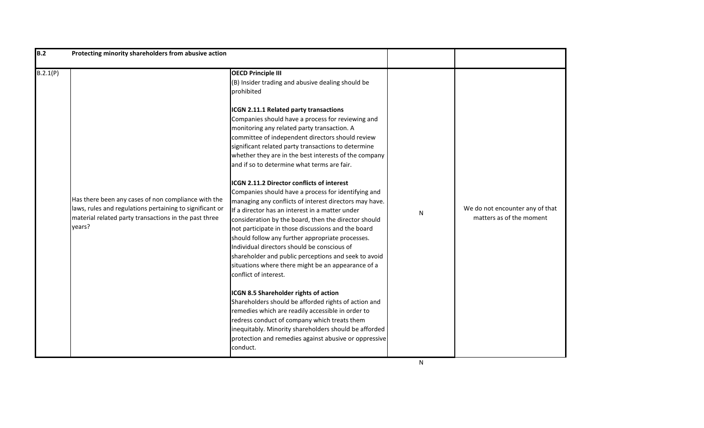| B.2      | Protecting minority shareholders from abusive action                                                                                                                               |                                                                                                                                                                                                                                                                                                                                                                                                                                                                                                                                                                                                                                                                                                                                                                                                                                                                                                                                                                                                                                                                                                                                                                                                                                                                                                                                                                                    |           |                                                             |
|----------|------------------------------------------------------------------------------------------------------------------------------------------------------------------------------------|------------------------------------------------------------------------------------------------------------------------------------------------------------------------------------------------------------------------------------------------------------------------------------------------------------------------------------------------------------------------------------------------------------------------------------------------------------------------------------------------------------------------------------------------------------------------------------------------------------------------------------------------------------------------------------------------------------------------------------------------------------------------------------------------------------------------------------------------------------------------------------------------------------------------------------------------------------------------------------------------------------------------------------------------------------------------------------------------------------------------------------------------------------------------------------------------------------------------------------------------------------------------------------------------------------------------------------------------------------------------------------|-----------|-------------------------------------------------------------|
| B.2.1(P) | Has there been any cases of non compliance with the<br>laws, rules and regulations pertaining to significant or<br>material related party transactions in the past three<br>years? | <b>OECD Principle III</b><br>(B) Insider trading and abusive dealing should be<br>prohibited<br>ICGN 2.11.1 Related party transactions<br>Companies should have a process for reviewing and<br>monitoring any related party transaction. A<br>committee of independent directors should review<br>significant related party transactions to determine<br>whether they are in the best interests of the company<br>and if so to determine what terms are fair.<br><b>ICGN 2.11.2 Director conflicts of interest</b><br>Companies should have a process for identifying and<br>managing any conflicts of interest directors may have.<br>If a director has an interest in a matter under<br>consideration by the board, then the director should<br>not participate in those discussions and the board<br>should follow any further appropriate processes.<br>Individual directors should be conscious of<br>shareholder and public perceptions and seek to avoid<br>situations where there might be an appearance of a<br>conflict of interest.<br>ICGN 8.5 Shareholder rights of action<br>Shareholders should be afforded rights of action and<br>remedies which are readily accessible in order to<br>redress conduct of company which treats them<br>inequitably. Minority shareholders should be afforded<br>protection and remedies against abusive or oppressive<br>conduct. | ${\sf N}$ | We do not encounter any of that<br>matters as of the moment |
|          |                                                                                                                                                                                    |                                                                                                                                                                                                                                                                                                                                                                                                                                                                                                                                                                                                                                                                                                                                                                                                                                                                                                                                                                                                                                                                                                                                                                                                                                                                                                                                                                                    | N         |                                                             |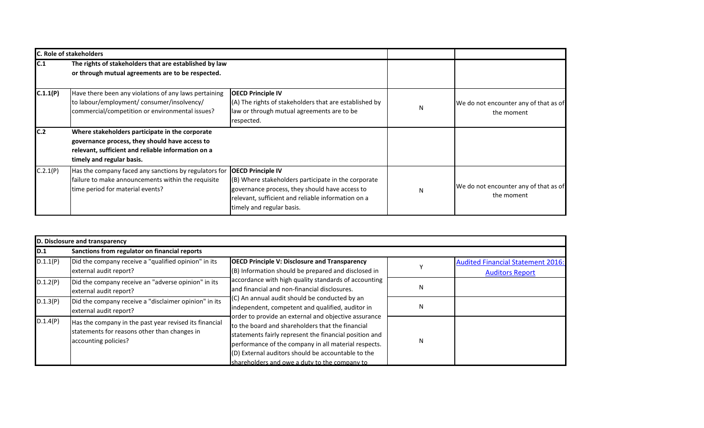|          | <b>C. Role of stakeholders</b>                                                                                                                                                       |                                                                                                                                                                                                                      |   |                                                     |
|----------|--------------------------------------------------------------------------------------------------------------------------------------------------------------------------------------|----------------------------------------------------------------------------------------------------------------------------------------------------------------------------------------------------------------------|---|-----------------------------------------------------|
| C.1      | The rights of stakeholders that are established by law<br>or through mutual agreements are to be respected.                                                                          |                                                                                                                                                                                                                      |   |                                                     |
| C.1.1(P) | Have there been any violations of any laws pertaining<br>to labour/employment/ consumer/insolvency/<br>commercial/competition or environmental issues?                               | <b>OECD Principle IV</b><br>(A) The rights of stakeholders that are established by<br>law or through mutual agreements are to be<br>respected.                                                                       | N | We do not encounter any of that as of<br>the moment |
| C.2      | Where stakeholders participate in the corporate<br>governance process, they should have access to<br>relevant, sufficient and reliable information on a<br>timely and regular basis. |                                                                                                                                                                                                                      |   |                                                     |
| C.2.1(P) | Has the company faced any sanctions by regulators for<br>failure to make announcements within the requisite<br>time period for material events?                                      | <b>OECD Principle IV</b><br>(B) Where stakeholders participate in the corporate<br>governance process, they should have access to<br>relevant, sufficient and reliable information on a<br>timely and regular basis. | N | We do not encounter any of that as of<br>the moment |

|          | D. Disclosure and transparency                                                                                                 |                                                                                                                                                                                                                                                                                                                                                                                                                                                                                                                                                         |   |                                                                    |  |  |
|----------|--------------------------------------------------------------------------------------------------------------------------------|---------------------------------------------------------------------------------------------------------------------------------------------------------------------------------------------------------------------------------------------------------------------------------------------------------------------------------------------------------------------------------------------------------------------------------------------------------------------------------------------------------------------------------------------------------|---|--------------------------------------------------------------------|--|--|
| D.1      | Sanctions from regulator on financial reports                                                                                  |                                                                                                                                                                                                                                                                                                                                                                                                                                                                                                                                                         |   |                                                                    |  |  |
| D.1.1(P) | Did the company receive a "qualified opinion" in its<br>external audit report?                                                 | <b>OECD Principle V: Disclosure and Transparency</b><br>$(B)$ Information should be prepared and disclosed in                                                                                                                                                                                                                                                                                                                                                                                                                                           |   | <b>Audited Financial Statement 2016:</b><br><b>Auditors Report</b> |  |  |
| D.1.2(P) | Did the company receive an "adverse opinion" in its<br>external audit report?                                                  | accordance with high quality standards of accounting<br>and financial and non-financial disclosures.<br>$\vert$ (C) An annual audit should be conducted by an<br>independent, competent and qualified, auditor in<br>order to provide an external and objective assurance<br>to the board and shareholders that the financial<br>statements fairly represent the financial position and<br>performance of the company in all material respects.<br>(D) External auditors should be accountable to the<br>Ishareholders and owe a duty to the company to | N |                                                                    |  |  |
| D.1.3(P) | Did the company receive a "disclaimer opinion" in its<br>external audit report?                                                |                                                                                                                                                                                                                                                                                                                                                                                                                                                                                                                                                         | N |                                                                    |  |  |
| D.1.4(P) | Has the company in the past year revised its financial<br>statements for reasons other than changes in<br>accounting policies? |                                                                                                                                                                                                                                                                                                                                                                                                                                                                                                                                                         | N |                                                                    |  |  |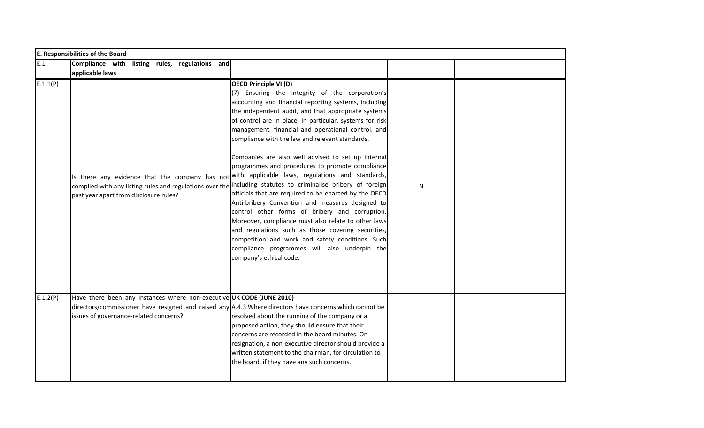|          | <b>E. Responsibilities of the Board</b>                                                                                                                                                                                      |                                                                                                                                                                                                                                                                                                                                                                                                                                                                                                                                                                                                                                                                                                                                                                                                                                                                                                                                                                                                           |   |  |
|----------|------------------------------------------------------------------------------------------------------------------------------------------------------------------------------------------------------------------------------|-----------------------------------------------------------------------------------------------------------------------------------------------------------------------------------------------------------------------------------------------------------------------------------------------------------------------------------------------------------------------------------------------------------------------------------------------------------------------------------------------------------------------------------------------------------------------------------------------------------------------------------------------------------------------------------------------------------------------------------------------------------------------------------------------------------------------------------------------------------------------------------------------------------------------------------------------------------------------------------------------------------|---|--|
| E.1      | Compliance with listing rules, regulations and<br>applicable laws                                                                                                                                                            |                                                                                                                                                                                                                                                                                                                                                                                                                                                                                                                                                                                                                                                                                                                                                                                                                                                                                                                                                                                                           |   |  |
| E.1.1(P) | Is there any evidence that the company has not with applicable laws, regulations and standards,<br>past year apart from disclosure rules?                                                                                    | <b>OECD Principle VI (D)</b><br>(7) Ensuring the integrity of the corporation's<br>accounting and financial reporting systems, including<br>the independent audit, and that appropriate systems<br>of control are in place, in particular, systems for risk<br>management, financial and operational control, and<br>compliance with the law and relevant standards.<br>Companies are also well advised to set up internal<br>programmes and procedures to promote compliance<br>complied with any listing rules and regulations over the including statutes to criminalise bribery of foreign<br>officials that are required to be enacted by the OECD<br>Anti-bribery Convention and measures designed to<br>control other forms of bribery and corruption.<br>Moreover, compliance must also relate to other laws<br>and regulations such as those covering securities,<br>competition and work and safety conditions. Such<br>compliance programmes will also underpin the<br>company's ethical code. | N |  |
| E.1.2(P) | Have there been any instances where non-executive UK CODE (JUNE 2010)<br>directors/commissioner have resigned and raised any $A.4.3$ Where directors have concerns which cannot be<br>issues of governance-related concerns? | resolved about the running of the company or a<br>proposed action, they should ensure that their<br>concerns are recorded in the board minutes. On<br>resignation, a non-executive director should provide a<br>written statement to the chairman, for circulation to<br>the board, if they have any such concerns.                                                                                                                                                                                                                                                                                                                                                                                                                                                                                                                                                                                                                                                                                       |   |  |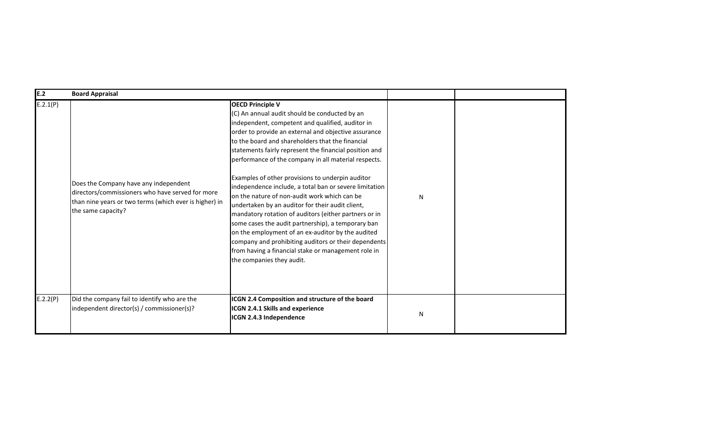| E.2      | <b>Board Appraisal</b>                                                                                                                                                    |                                                                                                                                                                                                                                                                                                                                                                                                                                                                                                                                                                                                                                                                                                                                                                                                                                                                                              |           |  |
|----------|---------------------------------------------------------------------------------------------------------------------------------------------------------------------------|----------------------------------------------------------------------------------------------------------------------------------------------------------------------------------------------------------------------------------------------------------------------------------------------------------------------------------------------------------------------------------------------------------------------------------------------------------------------------------------------------------------------------------------------------------------------------------------------------------------------------------------------------------------------------------------------------------------------------------------------------------------------------------------------------------------------------------------------------------------------------------------------|-----------|--|
| E.2.1(P) | Does the Company have any independent<br>directors/commissioners who have served for more<br>than nine years or two terms (which ever is higher) in<br>the same capacity? | <b>OECD Principle V</b><br>(C) An annual audit should be conducted by an<br>independent, competent and qualified, auditor in<br>order to provide an external and objective assurance<br>to the board and shareholders that the financial<br>statements fairly represent the financial position and<br>performance of the company in all material respects.<br>Examples of other provisions to underpin auditor<br>independence include, a total ban or severe limitation<br>on the nature of non-audit work which can be<br>undertaken by an auditor for their audit client,<br>mandatory rotation of auditors (either partners or in<br>some cases the audit partnership), a temporary ban<br>on the employment of an ex-auditor by the audited<br>company and prohibiting auditors or their dependents<br>from having a financial stake or management role in<br>the companies they audit. | N         |  |
| E.2.2(P) | Did the company fail to identify who are the<br>independent director(s) / commissioner(s)?                                                                                | ICGN 2.4 Composition and structure of the board<br>ICGN 2.4.1 Skills and experience<br>ICGN 2.4.3 Independence                                                                                                                                                                                                                                                                                                                                                                                                                                                                                                                                                                                                                                                                                                                                                                               | ${\sf N}$ |  |